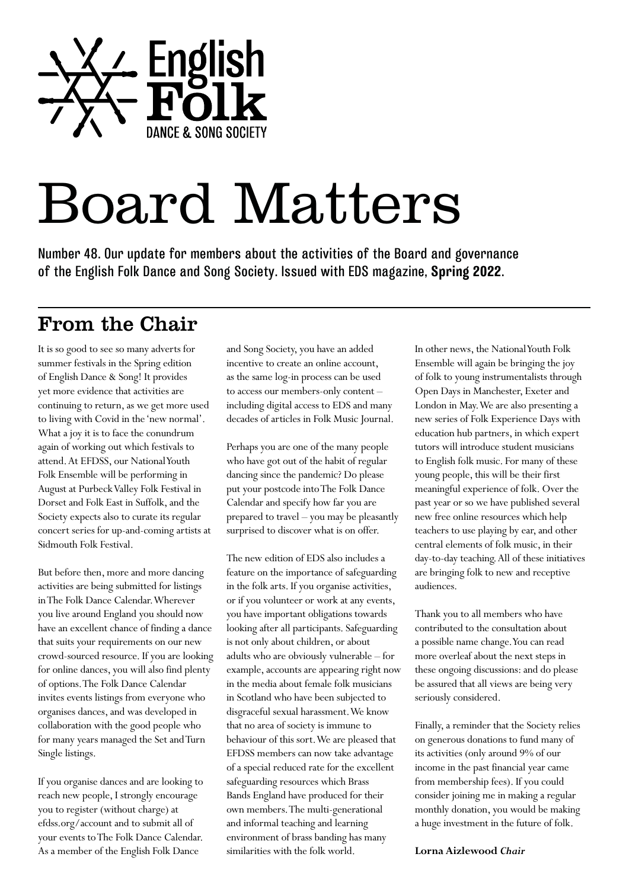

# Board Matters

Number 48. Our update for members about the activities of the Board and governance of the English Folk Dance and Song Society. Issued with EDS magazine, **Spring 2022**.

#### From the Chair

It is so good to see so many adverts for summer festivals in the Spring edition of English Dance & Song! It provides yet more evidence that activities are continuing to return, as we get more used to living with Covid in the 'new normal'. What a joy it is to face the conundrum again of working out which festivals to attend. At EFDSS, our National Youth Folk Ensemble will be performing in August at Purbeck Valley Folk Festival in Dorset and Folk East in Suffolk, and the Society expects also to curate its regular concert series for up-and-coming artists at Sidmouth Folk Festival.

But before then, more and more dancing activities are being submitted for listings in The Folk Dance Calendar. Wherever you live around England you should now have an excellent chance of finding a dance that suits your requirements on our new crowd-sourced resource. If you are looking for online dances, you will also find plenty of options. The Folk Dance Calendar invites events listings from everyone who organises dances, and was developed in collaboration with the good people who for many years managed the Set and Turn Single listings.

If you organise dances and are looking to reach new people, I strongly encourage you to register (without charge) at efdss.org/account and to submit all of your events to The Folk Dance Calendar. As a member of the English Folk Dance

and Song Society, you have an added incentive to create an online account, as the same log-in process can be used to access our members-only content – including digital access to EDS and many decades of articles in Folk Music Journal.

Perhaps you are one of the many people who have got out of the habit of regular dancing since the pandemic? Do please put your postcode into The Folk Dance Calendar and specify how far you are prepared to travel – you may be pleasantly surprised to discover what is on offer.

The new edition of EDS also includes a feature on the importance of safeguarding in the folk arts. If you organise activities, or if you volunteer or work at any events, you have important obligations towards looking after all participants. Safeguarding is not only about children, or about adults who are obviously vulnerable – for example, accounts are appearing right now in the media about female folk musicians in Scotland who have been subjected to disgraceful sexual harassment. We know that no area of society is immune to behaviour of this sort. We are pleased that EFDSS members can now take advantage of a special reduced rate for the excellent safeguarding resources which Brass Bands England have produced for their own members. The multi-generational and informal teaching and learning environment of brass banding has many similarities with the folk world.

In other news, the National Youth Folk Ensemble will again be bringing the joy of folk to young instrumentalists through Open Days in Manchester, Exeter and London in May. We are also presenting a new series of Folk Experience Days with education hub partners, in which expert tutors will introduce student musicians to English folk music. For many of these young people, this will be their first meaningful experience of folk. Over the past year or so we have published several new free online resources which help teachers to use playing by ear, and other central elements of folk music, in their day-to-day teaching. All of these initiatives are bringing folk to new and receptive audiences.

Thank you to all members who have contributed to the consultation about a possible name change. You can read more overleaf about the next steps in these ongoing discussions: and do please be assured that all views are being very seriously considered.

Finally, a reminder that the Society relies on generous donations to fund many of its activities (only around 9% of our income in the past financial year came from membership fees). If you could consider joining me in making a regular monthly donation, you would be making a huge investment in the future of folk.

**Lorna Aizlewood** *Chair*